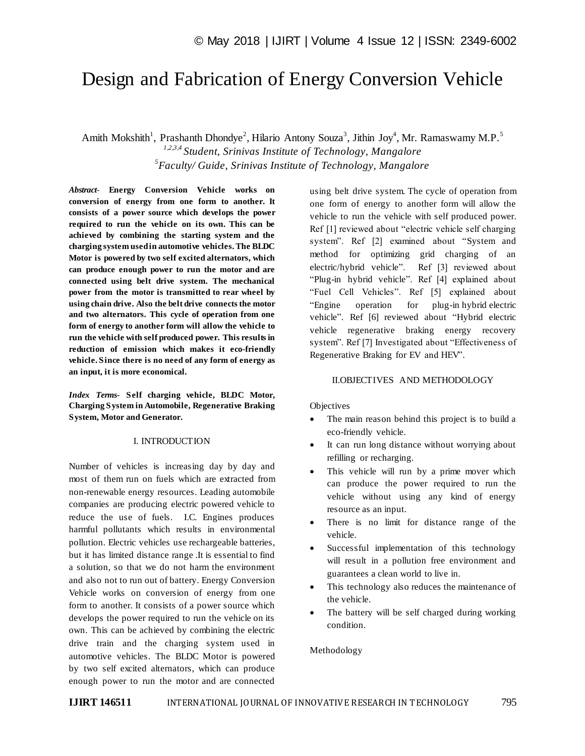# Design and Fabrication of Energy Conversion Vehicle

Amith Mokshith<sup>1</sup>, Prashanth Dhondye<sup>2</sup>, Hilario Antony Souza<sup>3</sup>, Jithin Joy<sup>4</sup>, Mr. Ramaswamy M.P.<sup>5</sup>

*1,2,3,4 Student, Srinivas Institute of Technology, Mangalore 5 Faculty/ Guide, Srinivas Institute of Technology, Mangalore*

*Abstract*- **Energy Conversion Vehicle works on conversion of energy from one form to another. It consists of a power source which develops the power required to run the vehicle on its own. This can be achieved by combining the starting system and the charging system used in automotive vehicles. The BLDC Motor is powered by two self excited alternators, which can produce enough power to run the motor and are connected using belt drive system. The mechanical power from the motor is transmitted to rear wheel by using chain drive. Also the belt drive connects the motor and two alternators. This cycle of operation from one form of energy to another form will allow the vehicle to run the vehicle with self produced power. This results in reduction of emission which makes it eco-friendly vehicle. Since there is no need of any form of energy as an input, it is more economical.**

*Index Terms***- Self charging vehicle, BLDC Motor, Charging System in Automobile, Regenerative Braking System, Motor and Generator.**

### I. INTRODUCTION

Number of vehicles is increasing day by day and most of them run on fuels which are extracted from non-renewable energy resources. Leading automobile companies are producing electric powered vehicle to reduce the use of fuels. I.C. Engines produces harmful pollutants which results in environmental pollution. Electric vehicles use rechargeable batteries, but it has limited distance range .It is essential to find a solution, so that we do not harm the environment and also not to run out of battery. Energy Conversion Vehicle works on conversion of energy from one form to another. It consists of a power source which develops the power required to run the vehicle on its own. This can be achieved by combining the electric drive train and the charging system used in automotive vehicles. The BLDC Motor is powered by two self excited alternators, which can produce enough power to run the motor and are connected

using belt drive system. The cycle of operation from one form of energy to another form will allow the vehicle to run the vehicle with self produced power. Ref [1] reviewed about "electric vehicle self charging system". Ref [2] examined about "System and method for optimizing grid charging of an electric/hybrid vehicle". Ref [3] reviewed about "Plug-in hybrid vehicle". Ref [4] explained about "Fuel Cell Vehicles". Ref [5] explained about "Engine operation for plug-in hybrid electric vehicle". Ref [6] reviewed about "Hybrid electric vehicle regenerative braking energy recovery system". Ref [7] Investigated about "Effectiveness of Regenerative Braking for EV and HEV".

#### II.OBJECTIVES AND METHODOLOGY

Objectives

- The main reason behind this project is to build a eco-friendly vehicle.
- It can run long distance without worrying about refilling or recharging.
- This vehicle will run by a prime mover which can produce the power required to run the vehicle without using any kind of energy resource as an input.
- There is no limit for distance range of the vehicle.
- Successful implementation of this technology will result in a pollution free environment and guarantees a clean world to live in.
- This technology also reduces the maintenance of the vehicle.
- The battery will be self charged during working condition.

#### Methodology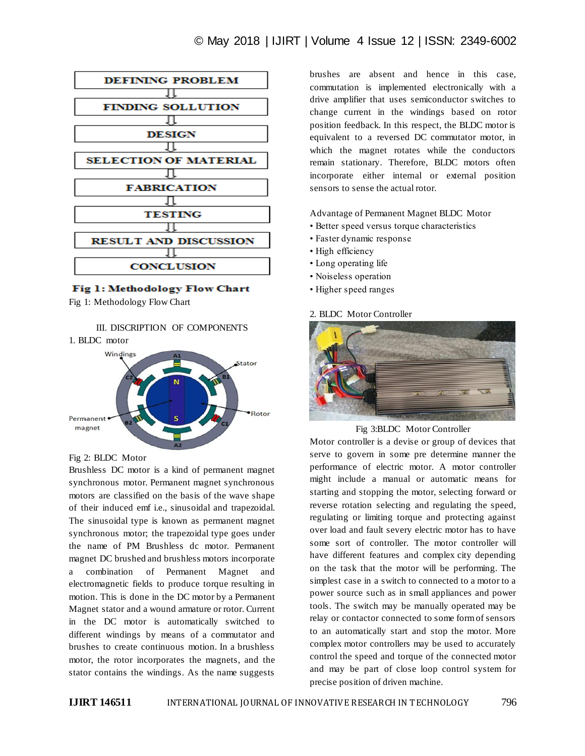

Fig 1: Methodology Flow Chart

Fig 1: Methodology Flow Chart

III. DISCRIPTION OF COMPONENTS



#### Fig 2: BLDC Motor

Brushless DC motor is a kind of permanent magnet synchronous motor. Permanent magnet synchronous motors are classified on the basis of the wave shape of their induced emf i.e., sinusoidal and trapezoidal. The sinusoidal type is known as permanent magnet synchronous motor; the trapezoidal type goes under the name of PM Brushless dc motor. Permanent magnet DC brushed and brushless motors incorporate a combination of Permanent Magnet and electromagnetic fields to produce torque resulting in motion. This is done in the DC motor by a Permanent Magnet stator and a wound armature or rotor. Current in the DC motor is automatically switched to different windings by means of a commutator and brushes to create continuous motion. In a brushless motor, the rotor incorporates the magnets, and the stator contains the windings. As the name suggests

brushes are absent and hence in this case, commutation is implemented electronically with a drive amplifier that uses semiconductor switches to change current in the windings based on rotor position feedback. In this respect, the BLDC motor is equivalent to a reversed DC commutator motor, in which the magnet rotates while the conductors remain stationary. Therefore, BLDC motors often incorporate either internal or external position sensors to sense the actual rotor.

Advantage of Permanent Magnet BLDC Motor

- Better speed versus torque characteristics
- Faster dynamic response
- High efficiency
- Long operating life
- Noiseless operation
- Higher speed ranges

#### 2. BLDC Motor Controller



Fig 3:BLDC Motor Controller

Motor controller is a devise or group of devices that serve to govern in some pre determine manner the performance of electric motor. A motor controller might include a manual or automatic means for starting and stopping the motor, selecting forward or reverse rotation selecting and regulating the speed, regulating or limiting torque and protecting against over load and fault severy electric motor has to have some sort of controller. The motor controller will have different features and complex city depending on the task that the motor will be performing. The simplest case in a switch to connected to a motor to a power source such as in small appliances and power tools. The switch may be manually operated may be relay or contactor connected to some form of sensors to an automatically start and stop the motor. More complex motor controllers may be used to accurately control the speed and torque of the connected motor and may be part of close loop control system for precise position of driven machine.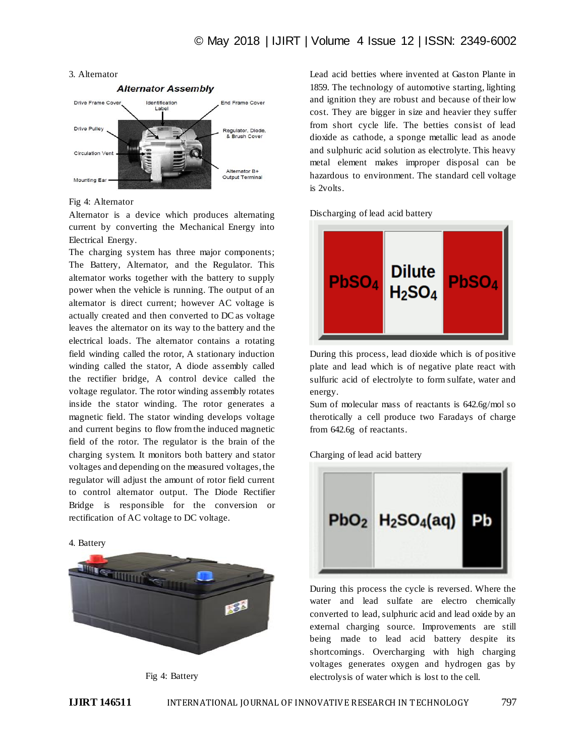#### 3. Alternator



Fig 4: Alternator

Alternator is a device which produces alternating current by converting the Mechanical Energy into Electrical Energy.

The charging system has three major components; The Battery, Alternator, and the Regulator. This alternator works together with the battery to supply power when the vehicle is running. The output of an alternator is direct current; however AC voltage is actually created and then converted to DC as voltage leaves the alternator on its way to the battery and the electrical loads. The alternator contains a rotating field winding called the rotor, A stationary induction winding called the stator, A diode assembly called the rectifier bridge, A control device called the voltage regulator. The rotor winding assembly rotates inside the stator winding. The rotor generates a magnetic field. The stator winding develops voltage and current begins to flow from the induced magnetic field of the rotor. The regulator is the brain of the charging system. It monitors both battery and stator voltages and depending on the measured voltages, the regulator will adjust the amount of rotor field current to control alternator output. The Diode Rectifier Bridge is responsible for the conversion or rectification of AC voltage to DC voltage.







Lead acid betties where invented at Gaston Plante in 1859. The technology of automotive starting, lighting and ignition they are robust and because of their low cost. They are bigger in size and heavier they suffer from short cycle life. The betties consist of lead dioxide as cathode, a sponge metallic lead as anode and sulphuric acid solution as electrolyte. This heavy metal element makes improper disposal can be hazardous to environment. The standard cell voltage is 2volts.

Discharging of lead acid battery



During this process, lead dioxide which is of positive plate and lead which is of negative plate react with sulfuric acid of electrolyte to form sulfate, water and energy.

Sum of molecular mass of reactants is 642.6g/mol so therotically a cell produce two Faradays of charge from 642.6g of reactants.

Charging of lead acid battery



During this process the cycle is reversed. Where the water and lead sulfate are electro chemically converted to lead, sulphuric acid and lead oxide by an external charging source. Improvements are still being made to lead acid battery despite its shortcomings. Overcharging with high charging voltages generates oxygen and hydrogen gas by electrolysis of water which is lost to the cell.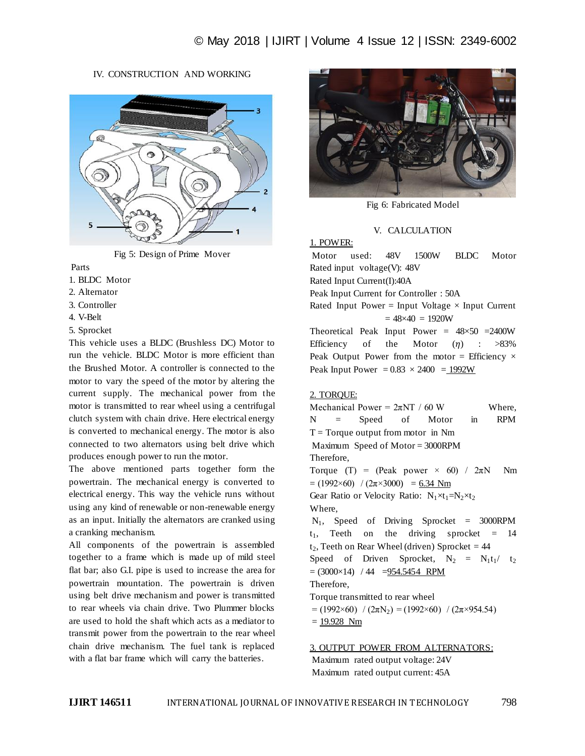# IV. CONSTRUCTION AND WORKING



Fig 5: Design of Prime Mover

Parts

- 1. BLDC Motor
- 2. Alternator
- 3. Controller
- 4. V-Belt

5. Sprocket

This vehicle uses a BLDC (Brushless DC) Motor to run the vehicle. BLDC Motor is more efficient than the Brushed Motor. A controller is connected to the motor to vary the speed of the motor by altering the current supply. The mechanical power from the motor is transmitted to rear wheel using a centrifugal clutch system with chain drive. Here electrical energy is converted to mechanical energy. The motor is also connected to two alternators using belt drive which produces enough power to run the motor.

The above mentioned parts together form the powertrain. The mechanical energy is converted to electrical energy. This way the vehicle runs without using any kind of renewable or non-renewable energy as an input. Initially the alternators are cranked using a cranking mechanism.

All components of the powertrain is assembled together to a frame which is made up of mild steel flat bar; also G.I. pipe is used to increase the area for powertrain mountation. The powertrain is driven using belt drive mechanism and power is transmitted to rear wheels via chain drive. Two Plummer blocks are used to hold the shaft which acts as a mediator to transmit power from the powertrain to the rear wheel chain drive mechanism. The fuel tank is replaced with a flat bar frame which will carry the batteries.



Fig 6: Fabricated Model

### V. CALCULATION

1. POWER: Motor used: 48V 1500W BLDC Motor Rated input voltage(V): 48V Rated Input Current(I):40A Peak Input Current for Controller : 50A Rated Input Power = Input Voltage  $\times$  Input Current  $= 48 \times 40 = 1920W$ Theoretical Peak Input Power =  $48 \times 50$  = 2400W Efficiency of the Motor  $(n)$  : >83% Peak Output Power from the motor = Efficiency  $\times$ 

Peak Input Power =  $0.83 \times 2400 = 1992W$ 

# 2. TORQUE:

Mechanical Power =  $2\pi NT / 60 W$  Where, N = Speed of Motor in RPM  $T = Torque output from motor in Nm$ Maximum Speed of Motor = 3000RPM Therefore, Torque (T) = (Peak power  $\times$  60) /  $2\pi N$  Nm  $= (1992 \times 60)$  /  $(2\pi \times 3000) = 6.34$  Nm Gear Ratio or Velocity Ratio:  $N_1 \times t_1 = N_2 \times t_2$ Where,  $N_1$ , Speed of Driving Sprocket = 3000RPM  $t_1$ , Teeth on the driving sprocket = 14  $t_2$ , Teeth on Rear Wheel (driven) Sprocket = 44 Speed of Driven Sprocket,  $N_2 = N_1t_1/t_2$  $= (3000 \times 14)$  / 44  $= 954.5454$  RPM Therefore, Torque transmitted to rear wheel  $= (1992 \times 60) / (2\pi N_2) = (1992 \times 60) / (2\pi \times 954.54)$  $= 19.928$  Nm

3. OUTPUT POWER FROM ALTERNATORS: Maximum rated output voltage: 24V Maximum rated output current: 45A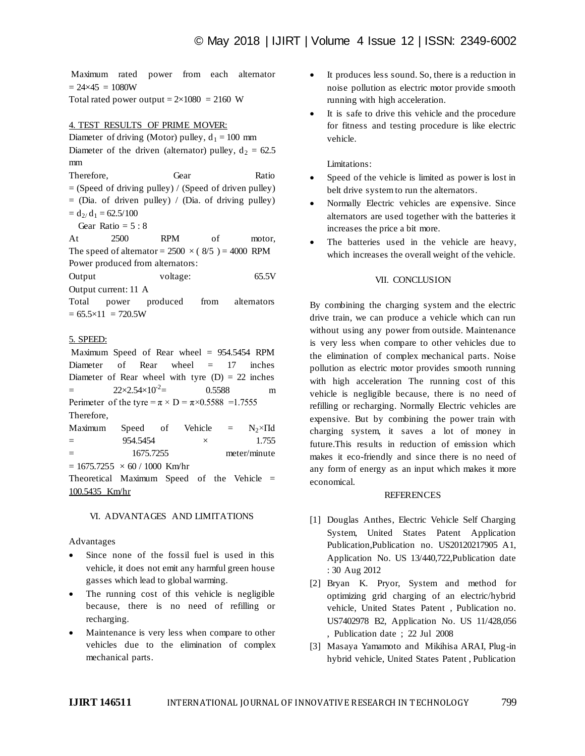Maximum rated power from each alternator  $= 24 \times 45 = 1080W$ Total rated power output =  $2 \times 1080$  = 2160 W

### 4. TEST RESULTS OF PRIME MOVER:

Diameter of driving (Motor) pulley,  $d_1 = 100$  mm Diameter of the driven (alternator) pulley,  $d_2 = 62.5$ mm

Therefore. Gear Ratio

 $=$  (Speed of driving pulley) / (Speed of driven pulley)

 $=$  (Dia. of driven pulley) / (Dia. of driving pulley)  $= d_{2}/ d_1 = 62.5/100$ 

Gear Ratio =  $5:8$ 

At 2500 RPM of motor, The speed of alternator =  $2500 \times (8/5) = 4000$  RPM Power produced from alternators: Output voltage: 65.5V

Output current: 11 A

Total power produced from alternators  $= 65.5 \times 11 = 720.5W$ 

# 5. SPEED:

Maximum Speed of Rear wheel = 954.5454 RPM Diameter of Rear wheel  $= 17$  inches Diameter of Rear wheel with tyre  $(D) = 22$  inches  $= 22 \times 2.54 \times 10^{-2} =$ 0.5588 m Perimeter of the tyre =  $\pi \times D = \pi \times 0.5588 = 1.7555$ Therefore,

Maximum Speed of Vehicle =  $N_2 \times \Pi d$  $=$  954.5454  $\times$  1.755 = 1675.7255 meter/minute

 $= 1675.7255 \times 60 / 1000$  Km/hr

Theoretical Maximum Speed of the Vehicle = 100.5435 Km/hr

#### VI. ADVANTAGES AND LIMITATIONS

Advantages

- Since none of the fossil fuel is used in this vehicle, it does not emit any harmful green house gasses which lead to global warming.
- The running cost of this vehicle is negligible because, there is no need of refilling or recharging.
- Maintenance is very less when compare to other vehicles due to the elimination of complex mechanical parts.
- It produces less sound. So, there is a reduction in noise pollution as electric motor provide smooth running with high acceleration.
- It is safe to drive this vehicle and the procedure for fitness and testing procedure is like electric vehicle.

Limitations:

- Speed of the vehicle is limited as power is lost in belt drive system to run the alternators.
- Normally Electric vehicles are expensive. Since alternators are used together with the batteries it increases the price a bit more.
- The batteries used in the vehicle are heavy, which increases the overall weight of the vehicle.

### VII. CONCLUSION

By combining the charging system and the electric drive train, we can produce a vehicle which can run without using any power from outside. Maintenance is very less when compare to other vehicles due to the elimination of complex mechanical parts. Noise pollution as electric motor provides smooth running with high acceleration The running cost of this vehicle is negligible because, there is no need of refilling or recharging. Normally Electric vehicles are expensive. But by combining the power train with charging system, it saves a lot of money in future.This results in reduction of emission which makes it eco-friendly and since there is no need of any form of energy as an input which makes it more economical.

#### REFERENCES

- [1] Douglas Anthes, Electric Vehicle Self Charging System, United States Patent Application Publication,Publication no. US20120217905 A1, Application No. US 13/440,722,Publication date : 30 Aug 2012
- [2] Bryan K. Pryor, System and method for optimizing grid charging of an electric/hybrid vehicle, United States Patent , Publication no. US7402978 B2, Application No. US 11/428,056 , Publication date ; 22 Jul 2008
- [3] Masaya Yamamoto and Mikihisa ARAI, Plug-in hybrid vehicle, United States Patent , Publication